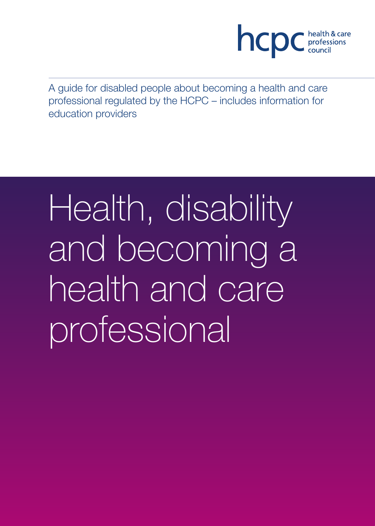

A guide for disabled people about becoming a health and care professional regulated by the HCPC – includes information for education providers

# Health, disability and becoming a health and care professional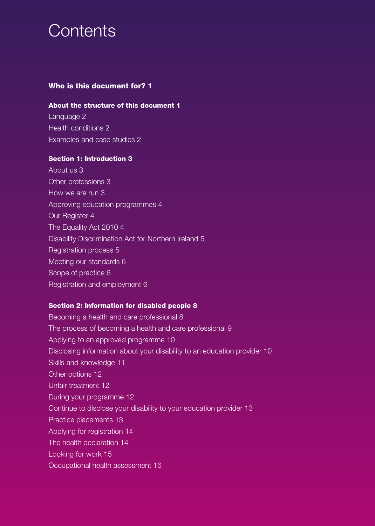# **Contents**

# **Who is this document for? 1**

#### **About the structure of this document 1**

Language 2 Health conditions 2 Examples and case studies 2

### **Section 1: Introduction 3**

About us 3 Other professions 3 How we are run 3 Approving education programmes 4 Our Register 4 The Equality Act 2010 4 Disability Discrimination Act for Northern Ireland 5 Registration process 5 Meeting our standards 6 Scope of practice 6 Registration and employment 6

#### **Section 2: Information for disabled people 8**

Becoming a health and care professional 8 The process of becoming a health and care professional 9 Applying to an approved programme 10 Disclosing information about your disability to an education provider 10 Skills and knowledge 11 Other options 12 Unfair treatment 12 During your programme 12 Continue to disclose your disability to your education provider 13 Practice placements 13 Applying for registration 14 The health declaration 14 Looking for work 15 Occupational health assessment 16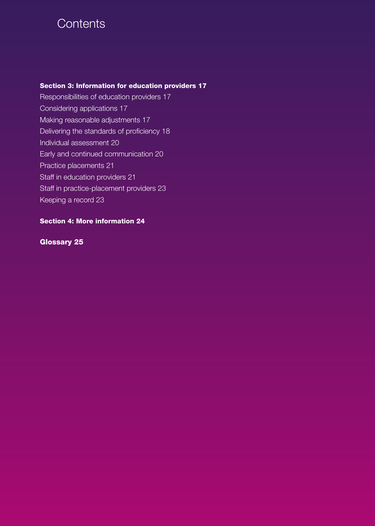# **Contents**

# **Section 3: Information for education providers 17**

Responsibilities of education providers 17 Considering applications 17 Making reasonable adjustments 17 Delivering the standards of proficiency 18 Individual assessment 20 Early and continued communication 20 Practice placements 21 Staff in education providers 21 Staff in practice-placement providers 23 Keeping a record 23

# **Section 4: More information 24**

# **Glossary 25**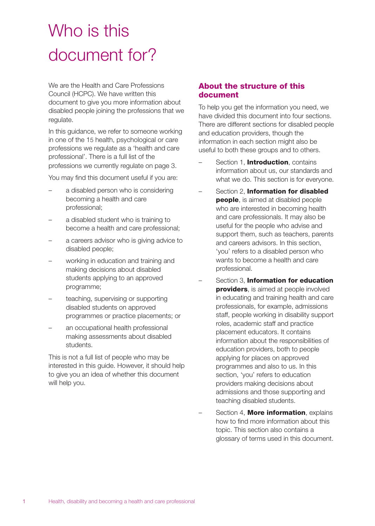# Who is this document for?

We are the Health and Care Professions Council (HCPC). We have written this document to give you more information about disabled people joining the professions that we regulate.

In this guidance, we refer to someone working in one of the 15 health, psychological or care professions we regulate as a 'health and care professional'. There is a full list of the professions we currently regulate on page 3.

You may find this document useful if you are:

- a disabled person who is considering becoming a health and care professional;
- a disabled student who is training to become a health and care professional;
- a careers advisor who is giving advice to disabled people;
- working in education and training and making decisions about disabled students applying to an approved programme;
- teaching, supervising or supporting disabled students on approved programmes or practice placements; or
- an occupational health professional making assessments about disabled students.

This is not a full list of people who may be interested in this guide. However, it should help to give you an idea of whether this document will help you.

# **About the structure of this document**

To help you get the information you need, we have divided this document into four sections. There are different sections for disabled people and education providers, though the information in each section might also be useful to both these groups and to others.

- Section 1, **Introduction**, contains information about us, our standards and what we do. This section is for everyone.
- Section 2, **Information for disabled people**, is aimed at disabled people who are interested in becoming health and care professionals. It may also be useful for the people who advise and support them, such as teachers, parents and careers advisors. In this section, 'you' refers to a disabled person who wants to become a health and care professional.
- Section 3, **Information for education providers**, is aimed at people involved in educating and training health and care professionals, for example, admissions staff, people working in disability support roles, academic staff and practice placement educators. It contains information about the responsibilities of education providers, both to people applying for places on approved programmes and also to us. In this section, 'you' refers to education providers making decisions about admissions and those supporting and teaching disabled students.
- Section 4, **More information**, explains how to find more information about this topic. This section also contains a glossary of terms used in this document.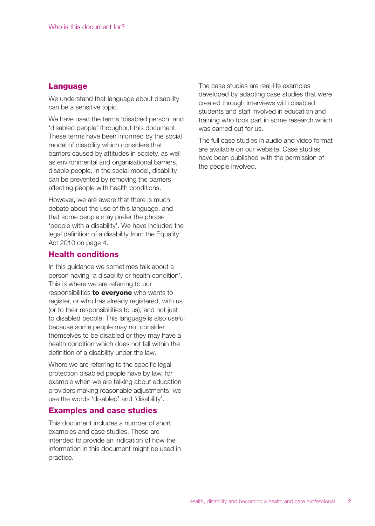### **Language**

We understand that language about disability can be a sensitive topic.

We have used the terms 'disabled person' and 'disabled people' throughout this document. These terms have been informed by the social model of disability which considers that barriers caused by attitudes in society, as well as environmental and organisational barriers, disable people. In the social model, disability can be prevented by removing the barriers affecting people with health conditions.

However, we are aware that there is much debate about the use of this language, and that some people may prefer the phrase 'people with a disability'. We have included the legal definition of a disability from the Equality Act 2010 on page 4.

# **Health conditions**

In this guidance we sometimes talk about a person having 'a disability or health condition'. This is where we are referring to our responsibilities **to everyone** who wants to register, or who has already registered, with us (or to their responsibilities to us), and not just to disabled people. This language is also useful because some people may not consider themselves to be disabled or they may have a health condition which does not fall within the definition of a disability under the law.

Where we are referring to the specific legal protection disabled people have by law, for example when we are talking about education providers making reasonable adjustments, we use the words 'disabled' and 'disability'.

# **Examples and case studies**

This document includes a number of short examples and case studies. These are intended to provide an indication of how the information in this document might be used in practice.

The case studies are real-life examples developed by adapting case studies that were created through interviews with disabled students and staff involved in education and training who took part in some research which was carried out for us.

The full case studies in audio and video format are available on our website. Case studies have been published with the permission of the people involved.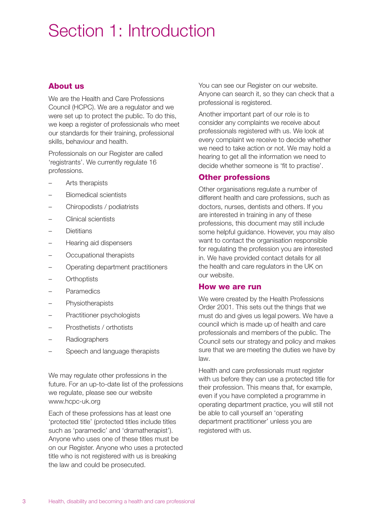# Section 1: Introduction

# **About us**

We are the Health and Care Professions Council (HCPC). We are a regulator and we were set up to protect the public. To do this, we keep a register of professionals who meet our standards for their training, professional skills, behaviour and health.

Professionals on our Register are called 'registrants'. We currently regulate 16 professions.

- Arts therapists
- Biomedical scientists
- Chiropodists / podiatrists
- Clinical scientists
- Dietitians
- Hearing aid dispensers
- Occupational therapists
- Operating department practitioners
- **Orthoptists**
- Paramedics
- **Physiotherapists**
- Practitioner psychologists
- Prosthetists / orthotists
- Radiographers
- Speech and language therapists

We may regulate other professions in the future. For an up-to-date list of the professions we regulate, please see our website www.hcpc-uk.org

Each of these professions has at least one 'protected title' (protected titles include titles such as 'paramedic' and 'dramatherapist'). Anyone who uses one of these titles must be on our Register. Anyone who uses a protected title who is not registered with us is breaking the law and could be prosecuted.

You can see our Register on our website. Anyone can search it, so they can check that a professional is registered.

Another important part of our role is to consider any complaints we receive about professionals registered with us. We look at every complaint we receive to decide whether we need to take action or not. We may hold a hearing to get all the information we need to decide whether someone is 'fit to practise'.

# **Other professions**

Other organisations regulate a number of different health and care professions, such as doctors, nurses, dentists and others. If you are interested in training in any of these professions, this document may still include some helpful guidance. However, you may also want to contact the organisation responsible for regulating the profession you are interested in. We have provided contact details for all the health and care regulators in the UK on our website.

# **How we are run**

We were created by the Health Professions Order 2001. This sets out the things that we must do and gives us legal powers. We have a council which is made up of health and care professionals and members of the public. The Council sets our strategy and policy and makes sure that we are meeting the duties we have by law.

Health and care professionals must register with us before they can use a protected title for their profession. This means that, for example, even if you have completed a programme in operating department practice, you will still not be able to call yourself an 'operating department practitioner' unless you are registered with us.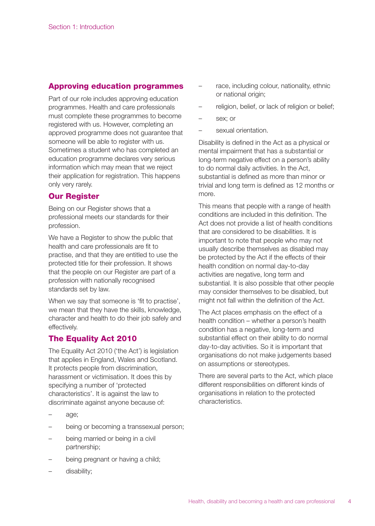# **Approving education programmes**

Part of our role includes approving education programmes. Health and care professionals must complete these programmes to become registered with us. However, completing an approved programme does not guarantee that someone will be able to register with us. Sometimes a student who has completed an education programme declares very serious information which may mean that we reject their application for registration. This happens only very rarely.

# **Our Register**

Being on our Register shows that a professional meets our standards for their profession.

We have a Register to show the public that health and care professionals are fit to practise, and that they are entitled to use the protected title for their profession. It shows that the people on our Register are part of a profession with nationally recognised standards set by law.

When we say that someone is 'fit to practise', we mean that they have the skills, knowledge, character and health to do their job safely and effectively.

# **The Equality Act 2010**

The Equality Act 2010 ('the Act') is legislation that applies in England, Wales and Scotland. It protects people from discrimination, harassment or victimisation. It does this by specifying a number of 'protected characteristics'. It is against the law to discriminate against anyone because of:

- age;
- being or becoming a transsexual person;
- being married or being in a civil partnership;
- being pregnant or having a child;
- disability:
- race, including colour, nationality, ethnic or national origin;
- religion, belief, or lack of religion or belief;
- sex: or
- sexual orientation.

Disability is defined in the Act as a physical or mental impairment that has a substantial or long-term negative effect on a person's ability to do normal daily activities. In the Act, substantial is defined as more than minor or trivial and long term is defined as 12 months or more.

This means that people with a range of health conditions are included in this definition. The Act does not provide a list of health conditions that are considered to be disabilities. It is important to note that people who may not usually describe themselves as disabled may be protected by the Act if the effects of their health condition on normal day-to-day activities are negative, long term and substantial. It is also possible that other people may consider themselves to be disabled, but might not fall within the definition of the Act.

The Act places emphasis on the effect of a health condition – whether a person's health condition has a negative, long-term and substantial effect on their ability to do normal day-to-day activities. So it is important that organisations do not make judgements based on assumptions or stereotypes.

There are several parts to the Act, which place different responsibilities on different kinds of organisations in relation to the protected characteristics.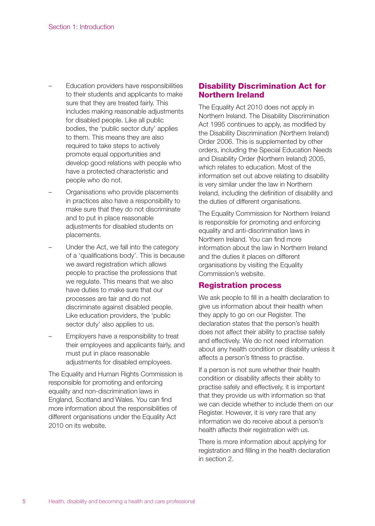- Education providers have responsibilities to their students and applicants to make sure that they are treated fairly. This includes making reasonable adjustments for disabled people. Like all public bodies, the 'public sector duty' applies to them. This means they are also required to take steps to actively promote equal opportunities and develop good relations with people who have a protected characteristic and people who do not.
- Organisations who provide placements in practices also have a responsibility to make sure that they do not discriminate and to put in place reasonable adjustments for disabled students on placements.
- Under the Act, we fall into the category of a 'qualifications body'. This is because we award registration which allows people to practise the professions that we regulate. This means that we also have duties to make sure that our processes are fair and do not discriminate against disabled people. Like education providers, the 'public sector duty' also applies to us.
- Employers have a responsibility to treat their employees and applicants fairly, and must put in place reasonable adjustments for disabled employees.

The Equality and Human Rights Commission is responsible for promoting and enforcing equality and non-discrimination laws in England, Scotland and Wales. You can find more information about the responsibilities of different organisations under the Equality Act 2010 on its website.

# **Disability Discrimination Act for Northern Ireland**

The Equality Act 2010 does not apply in Northern Ireland. The Disability Discrimination Act 1995 continues to apply, as modified by the Disability Discrimination (Northern Ireland) Order 2006. This is supplemented by other orders, including the Special Education Needs and Disability Order (Northern Ireland) 2005, which relates to education. Most of the information set out above relating to disability is very similar under the law in Northern Ireland, including the definition of disability and the duties of different organisations.

The Equality Commission for Northern Ireland is responsible for promoting and enforcing equality and anti-discrimination laws in Northern Ireland. You can find more information about the law in Northern Ireland and the duties it places on different organisations by visiting the Equality Commission's website.

# **Registration process**

We ask people to fill in a health declaration to give us information about their health when they apply to go on our Register. The declaration states that the person's health does not affect their ability to practise safely and effectively. We do not need information about any health condition or disability unless it affects a person's fitness to practise.

If a person is not sure whether their health condition or disability affects their ability to practise safely and effectively, it is important that they provide us with information so that we can decide whether to include them on our Register. However, it is very rare that any information we do receive about a person's health affects their registration with us.

There is more information about applying for registration and filling in the health declaration in section 2.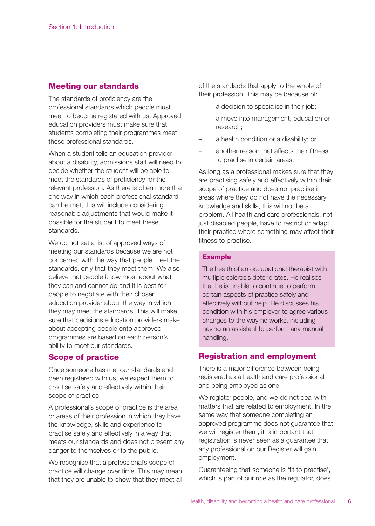# **Meeting our standards**

The standards of proficiency are the professional standards which people must meet to become registered with us. Approved education providers must make sure that students completing their programmes meet these professional standards.

When a student tells an education provider about a disability, admissions staff will need to decide whether the student will be able to meet the standards of proficiency for the relevant profession. As there is often more than one way in which each professional standard can be met, this will include considering reasonable adjustments that would make it possible for the student to meet these standards.

We do not set a list of approved ways of meeting our standards because we are not concerned with the way that people meet the standards, only that they meet them. We also believe that people know most about what they can and cannot do and it is best for people to negotiate with their chosen education provider about the way in which they may meet the standards. This will make sure that decisions education providers make about accepting people onto approved programmes are based on each person's ability to meet our standards.

# **Scope of practice**

Once someone has met our standards and been registered with us, we expect them to practise safely and effectively within their scope of practice.

A professional's scope of practice is the area or areas of their profession in which they have the knowledge, skills and experience to practise safely and effectively in a way that meets our standards and does not present any danger to themselves or to the public.

We recognise that a professional's scope of practice will change over time. This may mean that they are unable to show that they meet all of the standards that apply to the whole of their profession. This may be because of:

- a decision to specialise in their job;
- a move into management, education or research;
- a health condition or a disability; or
- another reason that affects their fitness to practise in certain areas.

As long as a professional makes sure that they are practising safely and effectively within their scope of practice and does not practise in areas where they do not have the necessary knowledge and skills, this will not be a problem. All health and care professionals, not just disabled people, have to restrict or adapt their practice where something may affect their fitness to practise.

### **Example**

The health of an occupational therapist with multiple sclerosis deteriorates. He realises that he is unable to continue to perform certain aspects of practice safely and effectively without help. He discusses his condition with his employer to agree various changes to the way he works, including having an assistant to perform any manual handling.

# **Registration and employment**

There is a major difference between being registered as a health and care professional and being employed as one.

We register people, and we do not deal with matters that are related to employment. In the same way that someone completing an approved programme does not guarantee that we will register them, it is important that registration is never seen as a guarantee that any professional on our Register will gain employment.

Guaranteeing that someone is 'fit to practise', which is part of our role as the regulator, does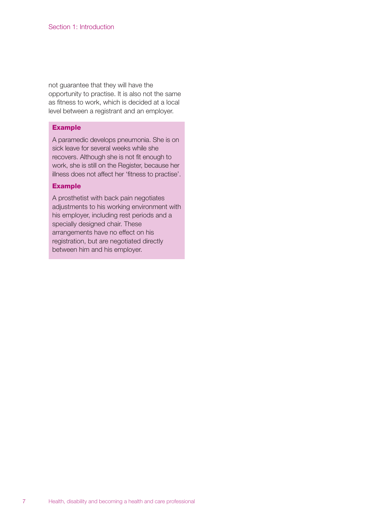not guarantee that they will have the opportunity to practise. It is also not the same as fitness to work, which is decided at a local level between a registrant and an employer.

#### **Example**

A paramedic develops pneumonia. She is on sick leave for several weeks while she recovers. Although she is not fit enough to work, she is still on the Register, because her illness does not affect her 'fitness to practise'.

#### **Example**

A prosthetist with back pain negotiates adjustments to his working environment with his employer, including rest periods and a specially designed chair. These arrangements have no effect on his registration, but are negotiated directly between him and his employer.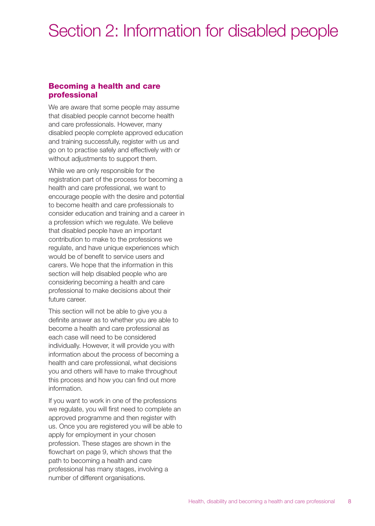# Section 2: Information for disabled people

# **Becoming a health and care professional**

We are aware that some people may assume that disabled people cannot become health and care professionals. However, many disabled people complete approved education and training successfully, register with us and go on to practise safely and effectively with or without adjustments to support them.

While we are only responsible for the registration part of the process for becoming a health and care professional, we want to encourage people with the desire and potential to become health and care professionals to consider education and training and a career in a profession which we regulate. We believe that disabled people have an important contribution to make to the professions we regulate, and have unique experiences which would be of benefit to service users and carers. We hope that the information in this section will help disabled people who are considering becoming a health and care professional to make decisions about their future career.

This section will not be able to give you a definite answer as to whether you are able to become a health and care professional as each case will need to be considered individually. However, it will provide you with information about the process of becoming a health and care professional, what decisions you and others will have to make throughout this process and how you can find out more information.

If you want to work in one of the professions we regulate, you will first need to complete an approved programme and then register with us. Once you are registered you will be able to apply for employment in your chosen profession. These stages are shown in the flowchart on page 9, which shows that the path to becoming a health and care professional has many stages, involving a number of different organisations.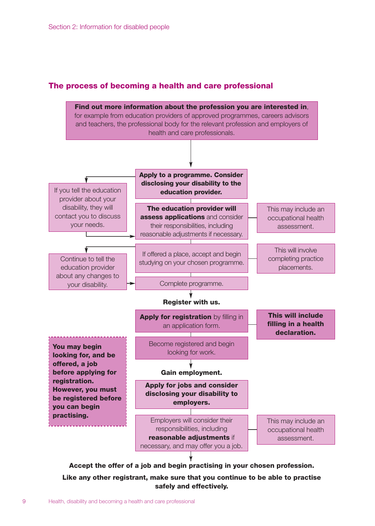# **The process of becoming a health and care professional**



**Accept the offer of a job and begin practising in your chosen profession.**

**Like any other registrant, make sure that you continue to be able to practise safely and effectively.**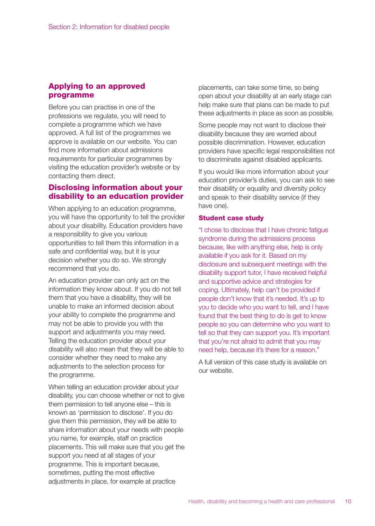# **Applying to an approved programme**

Before you can practise in one of the professions we regulate, you will need to complete a programme which we have approved. A full list of the programmes we approve is available on our website. You can find more information about admissions requirements for particular programmes by visiting the education provider's website or by contacting them direct.

# **Disclosing information about your disability to an education provider**

When applying to an education programme, you will have the opportunity to tell the provider about your disability. Education providers have a responsibility to give you various opportunities to tell them this information in a safe and confidential way, but it is your decision whether you do so. We strongly recommend that you do.

An education provider can only act on the information they know about. If you do not tell them that you have a disability, they will be unable to make an informed decision about your ability to complete the programme and may not be able to provide you with the support and adjustments you may need. Telling the education provider about your disability will also mean that they will be able to consider whether they need to make any adjustments to the selection process for the programme.

When telling an education provider about your disability, you can choose whether or not to give them permission to tell anyone else – this is known as 'permission to disclose'. If you do give them this permission, they will be able to share information about your needs with people you name, for example, staff on practice placements. This will make sure that you get the support you need at all stages of your programme. This is important because, sometimes, putting the most effective adjustments in place, for example at practice

placements, can take some time, so being open about your disability at an early stage can help make sure that plans can be made to put these adjustments in place as soon as possible.

Some people may not want to disclose their disability because they are worried about possible discrimination. However, education providers have specific legal responsibilities not to discriminate against disabled applicants.

If you would like more information about your education provider's duties, you can ask to see their disability or equality and diversity policy and speak to their disability service (if they have one).

#### **Student case study**

"I chose to disclose that I have chronic fatigue syndrome during the admissions process because, like with anything else, help is only available if you ask for it. Based on my disclosure and subsequent meetings with the disability support tutor, I have received helpful and supportive advice and strategies for coping. Ultimately, help can't be provided if people don't know that it's needed. It's up to you to decide who you want to tell, and I have found that the best thing to do is get to know people so you can determine who you want to tell so that they can support you. It's important that you're not afraid to admit that you may need help, because it's there for a reason."

A full version of this case study is available on our website.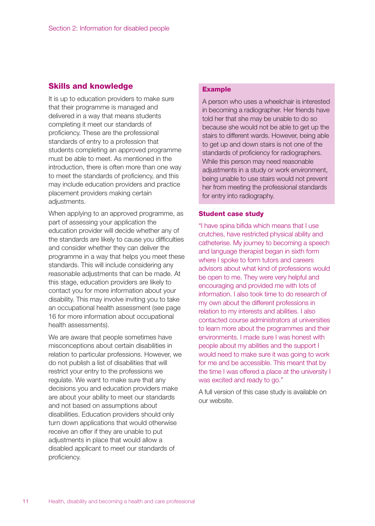# **Skills and knowledge**

It is up to education providers to make sure that their programme is managed and delivered in a way that means students completing it meet our standards of proficiency. These are the professional standards of entry to a profession that students completing an approved programme must be able to meet. As mentioned in the introduction, there is often more than one way to meet the standards of proficiency, and this may include education providers and practice placement providers making certain adjustments.

When applying to an approved programme, as part of assessing your application the education provider will decide whether any of the standards are likely to cause you difficulties and consider whether they can deliver the programme in a way that helps you meet these standards. This will include considering any reasonable adjustments that can be made. At this stage, education providers are likely to contact you for more information about your disability. This may involve inviting you to take an occupational health assessment (see page 16 for more information about occupational health assessments).

We are aware that people sometimes have misconceptions about certain disabilities in relation to particular professions. However, we do not publish a list of disabilities that will restrict your entry to the professions we regulate. We want to make sure that any decisions you and education providers make are about your ability to meet our standards and not based on assumptions about disabilities. Education providers should only turn down applications that would otherwise receive an offer if they are unable to put adjustments in place that would allow a disabled applicant to meet our standards of proficiency.

#### **Example**

A person who uses a wheelchair is interested in becoming a radiographer. Her friends have told her that she may be unable to do so because she would not be able to get up the stairs to different wards. However, being able to get up and down stairs is not one of the standards of proficiency for radiographers. While this person may need reasonable adjustments in a study or work environment, being unable to use stairs would not prevent her from meeting the professional standards for entry into radiography.

#### **Student case study**

"I have spina bifida which means that I use crutches, have restricted physical ability and catheterise. My journey to becoming a speech and language therapist began in sixth form where I spoke to form tutors and careers advisors about what kind of professions would be open to me. They were very helpful and encouraging and provided me with lots of information. I also took time to do research of my own about the different professions in relation to my interests and abilities. I also contacted course administrators at universities to learn more about the programmes and their environments. I made sure I was honest with people about my abilities and the support I would need to make sure it was going to work for me and be accessible. This meant that by the time I was offered a place at the university I was excited and ready to go."

A full version of this case study is available on our website.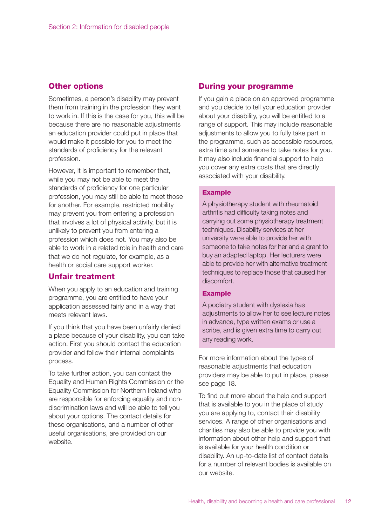### **Other options**

Sometimes, a person's disability may prevent them from training in the profession they want to work in. If this is the case for you, this will be because there are no reasonable adjustments an education provider could put in place that would make it possible for you to meet the standards of proficiency for the relevant profession.

However, it is important to remember that, while you may not be able to meet the standards of proficiency for one particular profession, you may still be able to meet those for another. For example, restricted mobility may prevent you from entering a profession that involves a lot of physical activity, but it is unlikely to prevent you from entering a profession which does not. You may also be able to work in a related role in health and care that we do not regulate, for example, as a health or social care support worker.

# **Unfair treatment**

When you apply to an education and training programme, you are entitled to have your application assessed fairly and in a way that meets relevant laws.

If you think that you have been unfairly denied a place because of your disability, you can take action. First you should contact the education provider and follow their internal complaints process.

To take further action, you can contact the Equality and Human Rights Commission or the Equality Commission for Northern Ireland who are responsible for enforcing equality and nondiscrimination laws and will be able to tell you about your options. The contact details for these organisations, and a number of other useful organisations, are provided on our website.

#### **During your programme**

If you gain a place on an approved programme and you decide to tell your education provider about your disability, you will be entitled to a range of support. This may include reasonable adjustments to allow you to fully take part in the programme, such as accessible resources, extra time and someone to take notes for you. It may also include financial support to help you cover any extra costs that are directly associated with your disability.

#### **Example**

A physiotherapy student with rheumatoid arthritis had difficulty taking notes and carrying out some physiotherapy treatment techniques. Disability services at her university were able to provide her with someone to take notes for her and a grant to buy an adapted laptop. Her lecturers were able to provide her with alternative treatment techniques to replace those that caused her discomfort.

#### **Example**

A podiatry student with dyslexia has adjustments to allow her to see lecture notes in advance, type written exams or use a scribe, and is given extra time to carry out any reading work.

For more information about the types of reasonable adjustments that education providers may be able to put in place, please see page 18.

To find out more about the help and support that is available to you in the place of study you are applying to, contact their disability services. A range of other organisations and charities may also be able to provide you with information about other help and support that is available for your health condition or disability. An up-to-date list of contact details for a number of relevant bodies is available on our website.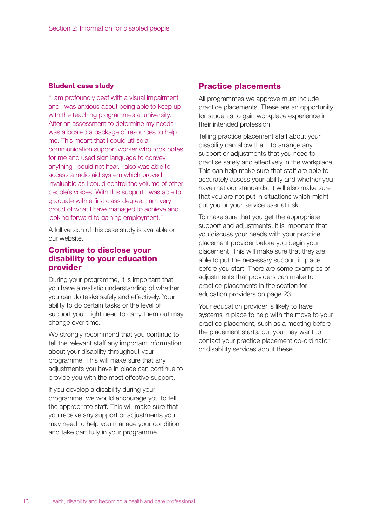#### **Student case study**

"I am profoundly deaf with a visual impairment and I was anxious about being able to keep up with the teaching programmes at university. After an assessment to determine my needs I was allocated a package of resources to help me. This meant that I could utilise a communication support worker who took notes for me and used sign language to convey anything I could not hear. I also was able to access a radio aid system which proved invaluable as I could control the volume of other people's voices. With this support I was able to graduate with a first class degree. I am very proud of what I have managed to achieve and looking forward to gaining employment."

A full version of this case study is available on our website.

# **Continue to disclose your disability to your education provider**

During your programme, it is important that you have a realistic understanding of whether you can do tasks safely and effectively. Your ability to do certain tasks or the level of support you might need to carry them out may change over time.

We strongly recommend that you continue to tell the relevant staff any important information about your disability throughout your programme. This will make sure that any adjustments you have in place can continue to provide you with the most effective support.

If you develop a disability during your programme, we would encourage you to tell the appropriate staff. This will make sure that you receive any support or adjustments you may need to help you manage your condition and take part fully in your programme.

### **Practice placements**

All programmes we approve must include practice placements. These are an opportunity for students to gain workplace experience in their intended profession.

Telling practice placement staff about your disability can allow them to arrange any support or adjustments that you need to practise safely and effectively in the workplace. This can help make sure that staff are able to accurately assess your ability and whether you have met our standards. It will also make sure that you are not put in situations which might put you or your service user at risk.

To make sure that you get the appropriate support and adjustments, it is important that you discuss your needs with your practice placement provider before you begin your placement. This will make sure that they are able to put the necessary support in place before you start. There are some examples of adjustments that providers can make to practice placements in the section for education providers on page 23.

Your education provider is likely to have systems in place to help with the move to your practice placement, such as a meeting before the placement starts, but you may want to contact your practice placement co-ordinator or disability services about these.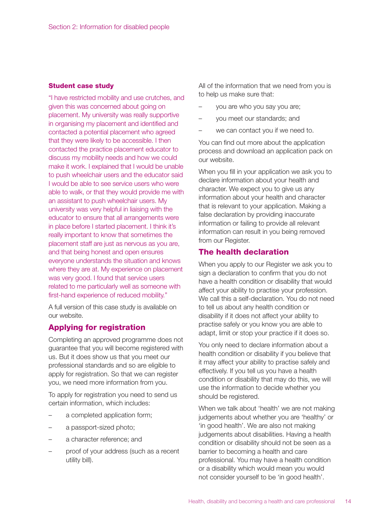#### **Student case study**

"I have restricted mobility and use crutches, and given this was concerned about going on placement. My university was really supportive in organising my placement and identified and contacted a potential placement who agreed that they were likely to be accessible. I then contacted the practice placement educator to discuss my mobility needs and how we could make it work. I explained that I would be unable to push wheelchair users and the educator said I would be able to see service users who were able to walk, or that they would provide me with an assistant to push wheelchair users. My university was very helpful in liaising with the educator to ensure that all arrangements were in place before I started placement. I think it's really important to know that sometimes the placement staff are just as nervous as you are, and that being honest and open ensures everyone understands the situation and knows where they are at. My experience on placement was very good. I found that service users related to me particularly well as someone with first-hand experience of reduced mobility."

A full version of this case study is available on our website.

# **Applying for registration**

Completing an approved programme does not guarantee that you will become registered with us. But it does show us that you meet our professional standards and so are eligible to apply for registration. So that we can register you, we need more information from you.

To apply for registration you need to send us certain information, which includes:

- a completed application form;
- a passport-sized photo;
- a character reference; and
- proof of your address (such as a recent utility bill).

All of the information that we need from you is to help us make sure that:

- you are who you say you are;
- you meet our standards; and
- we can contact you if we need to.

You can find out more about the application process and download an application pack on our website.

When you fill in your application we ask you to declare information about your health and character. We expect you to give us any information about your health and character that is relevant to your application. Making a false declaration by providing inaccurate information or failing to provide all relevant information can result in you being removed from our Register.

### **The health declaration**

When you apply to our Register we ask you to sign a declaration to confirm that you do not have a health condition or disability that would affect your ability to practise your profession. We call this a self-declaration. You do not need to tell us about any health condition or disability if it does not affect your ability to practise safely or you know you are able to adapt, limit or stop your practice if it does so.

You only need to declare information about a health condition or disability if you believe that it may affect your ability to practise safely and effectively. If you tell us you have a health condition or disability that may do this, we will use the information to decide whether you should be registered.

When we talk about 'health' we are not making judgements about whether you are 'healthy' or 'in good health'. We are also not making judgements about disabilities. Having a health condition or disability should not be seen as a barrier to becoming a health and care professional. You may have a health condition or a disability which would mean you would not consider yourself to be 'in good health'.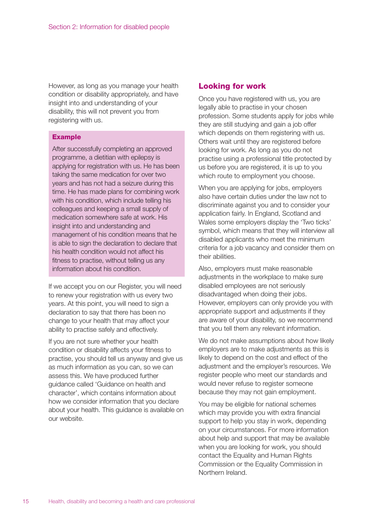However, as long as you manage your health condition or disability appropriately, and have insight into and understanding of your disability, this will not prevent you from registering with us.

#### **Example**

After successfully completing an approved programme, a dietitian with epilepsy is applying for registration with us. He has been taking the same medication for over two years and has not had a seizure during this time. He has made plans for combining work with his condition, which include telling his colleagues and keeping a small supply of medication somewhere safe at work. His insight into and understanding and management of his condition means that he is able to sign the declaration to declare that his health condition would not affect his fitness to practise, without telling us any information about his condition.

If we accept you on our Register, you will need to renew your registration with us every two years. At this point, you will need to sign a declaration to say that there has been no change to your health that may affect your ability to practise safely and effectively.

If you are not sure whether your health condition or disability affects your fitness to practise, you should tell us anyway and give us as much information as you can, so we can assess this. We have produced further guidance called 'Guidance on health and character', which contains information about how we consider information that you declare about your health. This guidance is available on our website.

# **Looking for work**

Once you have registered with us, you are legally able to practise in your chosen profession. Some students apply for jobs while they are still studying and gain a job offer which depends on them registering with us. Others wait until they are registered before looking for work. As long as you do not practise using a professional title protected by us before you are registered, it is up to you which route to employment you choose.

When you are applying for jobs, employers also have certain duties under the law not to discriminate against you and to consider your application fairly. In England, Scotland and Wales some employers display the 'Two ticks' symbol, which means that they will interview all disabled applicants who meet the minimum criteria for a job vacancy and consider them on their abilities.

Also, employers must make reasonable adjustments in the workplace to make sure disabled employees are not seriously disadvantaged when doing their jobs. However, employers can only provide you with appropriate support and adjustments if they are aware of your disability, so we recommend that you tell them any relevant information.

We do not make assumptions about how likely employers are to make adjustments as this is likely to depend on the cost and effect of the adjustment and the employer's resources. We register people who meet our standards and would never refuse to register someone because they may not gain employment.

You may be eligible for national schemes which may provide you with extra financial support to help you stay in work, depending on your circumstances. For more information about help and support that may be available when you are looking for work, you should contact the Equality and Human Rights Commission or the Equality Commission in Northern Ireland.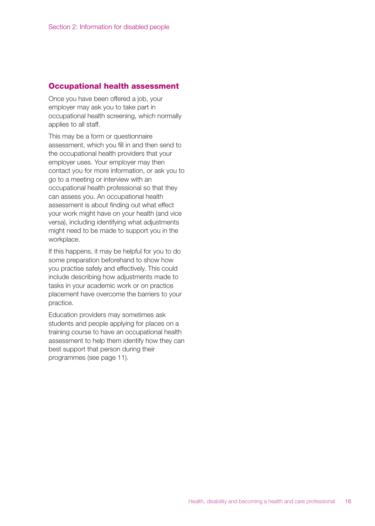# **Occupational health assessment**

Once you have been offered a job, your employer may ask you to take part in occupational health screening, which normally applies to all staff.

This may be a form or questionnaire assessment, which you fill in and then send to the occupational health providers that your employer uses. Your employer may then contact you for more information, or ask you to go to a meeting or interview with an occupational health professional so that they can assess you. An occupational health assessment is about finding out what effect your work might have on your health (and vice versa), including identifying what adjustments might need to be made to support you in the workplace.

If this happens, it may be helpful for you to do some preparation beforehand to show how you practise safely and effectively. This could include describing how adjustments made to tasks in your academic work or on practice placement have overcome the barriers to your practice.

Education providers may sometimes ask students and people applying for places on a training course to have an occupational health assessment to help them identify how they can best support that person during their programmes (see page 11).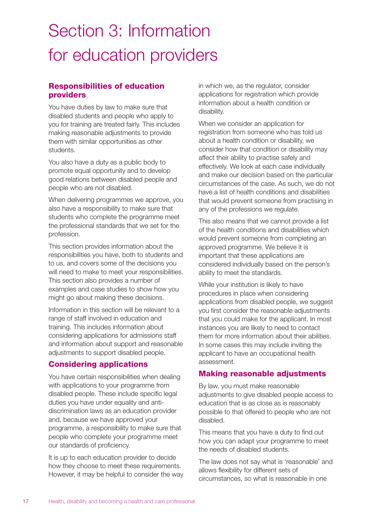# Section 3: Information for education providers

# **Responsibilities of education providers**

You have duties by law to make sure that disabled students and people who apply to you for training are treated fairly. This includes making reasonable adjustments to provide them with similar opportunities as other students.

You also have a duty as a public body to promote equal opportunity and to develop good relations between disabled people and people who are not disabled.

When delivering programmes we approve, you also have a responsibility to make sure that students who complete the programme meet the professional standards that we set for the profession.

This section provides information about the responsibilities you have, both to students and to us, and covers some of the decisions you will need to make to meet your responsibilities. This section also provides a number of examples and case studies to show how you might go about making these decisions.

Information in this section will be relevant to a range of staff involved in education and training. This includes information about considering applications for admissions staff and information about support and reasonable adjustments to support disabled people.

# **Considering applications**

You have certain responsibilities when dealing with applications to your programme from disabled people. These include specific legal duties you have under equality and antidiscrimination laws as an education provider and, because we have approved your programme, a responsibility to make sure that people who complete your programme meet our standards of proficiency.

It is up to each education provider to decide how they choose to meet these requirements. However, it may be helpful to consider the way in which we, as the regulator, consider applications for registration which provide information about a health condition or disability.

When we consider an application for registration from someone who has told us about a health condition or disability, we consider how that condition or disability may affect their ability to practise safely and effectively. We look at each case individually and make our decision based on the particular circumstances of the case. As such, we do not have a list of health conditions and disabilities that would prevent someone from practising in any of the professions we regulate.

This also means that we cannot provide a list of the health conditions and disabilities which would prevent someone from completing an approved programme. We believe it is important that these applications are considered individually based on the person's ability to meet the standards.

While your institution is likely to have procedures in place when considering applications from disabled people, we suggest you first consider the reasonable adjustments that you could make for the applicant. In most instances you are likely to need to contact them for more information about their abilities. In some cases this may include inviting the applicant to have an occupational health assessment.

# **Making reasonable adjustments**

By law, you must make reasonable adjustments to give disabled people access to education that is as close as is reasonably possible to that offered to people who are not disabled.

This means that you have a duty to find out how you can adapt your programme to meet the needs of disabled students.

The law does not say what is 'reasonable' and allows flexibility for different sets of circumstances, so what is reasonable in one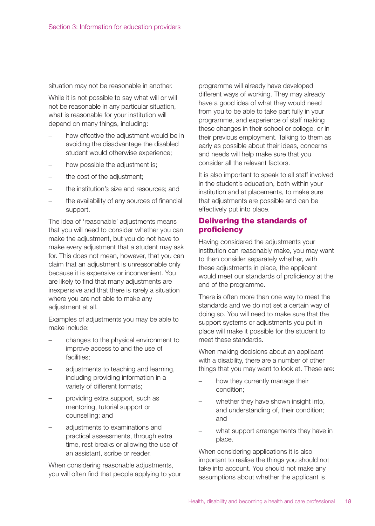situation may not be reasonable in another.

While it is not possible to say what will or will not be reasonable in any particular situation, what is reasonable for your institution will depend on many things, including:

- how effective the adjustment would be in avoiding the disadvantage the disabled student would otherwise experience;
- how possible the adjustment is;
- the cost of the adjustment;
- the institution's size and resources; and
- the availability of any sources of financial support.

The idea of 'reasonable' adjustments means that you will need to consider whether you can make the adjustment, but you do not have to make every adjustment that a student may ask for. This does not mean, however, that you can claim that an adjustment is unreasonable only because it is expensive or inconvenient. You are likely to find that many adjustments are inexpensive and that there is rarely a situation where you are not able to make any adjustment at all.

Examples of adjustments you may be able to make include:

- changes to the physical environment to improve access to and the use of facilities;
- adjustments to teaching and learning, including providing information in a variety of different formats;
- providing extra support, such as mentoring, tutorial support or counselling; and
- adjustments to examinations and practical assessments, through extra time, rest breaks or allowing the use of an assistant, scribe or reader.

When considering reasonable adjustments, you will often find that people applying to your programme will already have developed different ways of working. They may already have a good idea of what they would need from you to be able to take part fully in your programme, and experience of staff making these changes in their school or college, or in their previous employment. Talking to them as early as possible about their ideas, concerns and needs will help make sure that you consider all the relevant factors.

It is also important to speak to all staff involved in the student's education, both within your institution and at placements, to make sure that adjustments are possible and can be effectively put into place.

# **Delivering the standards of proficiency**

Having considered the adjustments your institution can reasonably make, you may want to then consider separately whether, with these adjustments in place, the applicant would meet our standards of proficiency at the end of the programme.

There is often more than one way to meet the standards and we do not set a certain way of doing so. You will need to make sure that the support systems or adjustments you put in place will make it possible for the student to meet these standards.

When making decisions about an applicant with a disability, there are a number of other things that you may want to look at. These are:

- how they currently manage their condition;
- whether they have shown insight into, and understanding of, their condition; and
- what support arrangements they have in place.

When considering applications it is also important to realise the things you should not take into account. You should not make any assumptions about whether the applicant is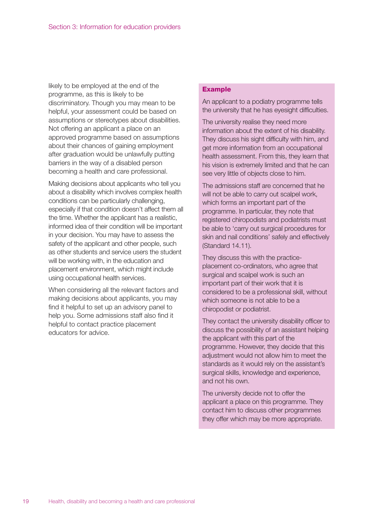likely to be employed at the end of the programme, as this is likely to be discriminatory. Though you may mean to be helpful, your assessment could be based on assumptions or stereotypes about disabilities. Not offering an applicant a place on an approved programme based on assumptions about their chances of gaining employment after graduation would be unlawfully putting barriers in the way of a disabled person becoming a health and care professional.

Making decisions about applicants who tell you about a disability which involves complex health conditions can be particularly challenging, especially if that condition doesn't affect them all the time. Whether the applicant has a realistic, informed idea of their condition will be important in your decision. You may have to assess the safety of the applicant and other people, such as other students and service users the student will be working with, in the education and placement environment, which might include using occupational health services.

When considering all the relevant factors and making decisions about applicants, you may find it helpful to set up an advisory panel to help you. Some admissions staff also find it helpful to contact practice placement educators for advice.

#### **Example**

An applicant to a podiatry programme tells the university that he has eyesight difficulties.

The university realise they need more information about the extent of his disability. They discuss his sight difficulty with him, and get more information from an occupational health assessment. From this, they learn that his vision is extremely limited and that he can see very little of objects close to him.

The admissions staff are concerned that he will not be able to carry out scalpel work, which forms an important part of the programme. In particular, they note that registered chiropodists and podiatrists must be able to 'carry out surgical procedures for skin and nail conditions' safely and effectively (Standard 14.11).

They discuss this with the practiceplacement co-ordinators, who agree that surgical and scalpel work is such an important part of their work that it is considered to be a professional skill, without which someone is not able to be a chiropodist or podiatrist.

They contact the university disability officer to discuss the possibility of an assistant helping the applicant with this part of the programme. However, they decide that this adjustment would not allow him to meet the standards as it would rely on the assistant's surgical skills, knowledge and experience, and not his own.

The university decide not to offer the applicant a place on this programme. They contact him to discuss other programmes they offer which may be more appropriate.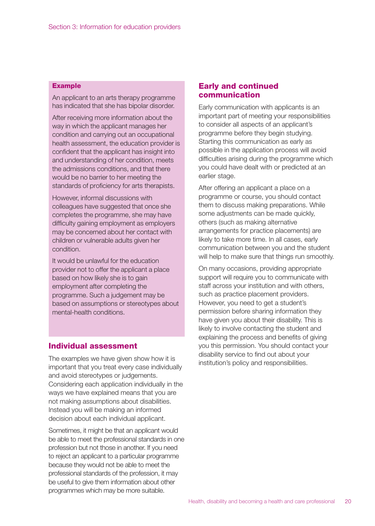#### **Example**

An applicant to an arts therapy programme has indicated that she has bipolar disorder.

After receiving more information about the way in which the applicant manages her condition and carrying out an occupational health assessment, the education provider is confident that the applicant has insight into and understanding of her condition, meets the admissions conditions, and that there would be no barrier to her meeting the standards of proficiency for arts therapists.

However, informal discussions with colleagues have suggested that once she completes the programme, she may have difficulty gaining employment as employers may be concerned about her contact with children or vulnerable adults given her condition.

It would be unlawful for the education provider not to offer the applicant a place based on how likely she is to gain employment after completing the programme. Such a judgement may be based on assumptions or stereotypes about mental-health conditions.

#### **Individual assessment**

The examples we have given show how it is important that you treat every case individually and avoid stereotypes or judgements. Considering each application individually in the ways we have explained means that you are not making assumptions about disabilities. Instead you will be making an informed decision about each individual applicant.

Sometimes, it might be that an applicant would be able to meet the professional standards in one profession but not those in another. If you need to reject an applicant to a particular programme because they would not be able to meet the professional standards of the profession, it may be useful to give them information about other programmes which may be more suitable.

#### **Early and continued communication**

Early communication with applicants is an important part of meeting your responsibilities to consider all aspects of an applicant's programme before they begin studying. Starting this communication as early as possible in the application process will avoid difficulties arising during the programme which you could have dealt with or predicted at an earlier stage.

After offering an applicant a place on a programme or course, you should contact them to discuss making preparations. While some adjustments can be made quickly, others (such as making alternative arrangements for practice placements) are likely to take more time. In all cases, early communication between you and the student will help to make sure that things run smoothly.

On many occasions, providing appropriate support will require you to communicate with staff across your institution and with others, such as practice placement providers. However, you need to get a student's permission before sharing information they have given you about their disability. This is likely to involve contacting the student and explaining the process and benefits of giving you this permission. You should contact your disability service to find out about your institution's policy and responsibilities.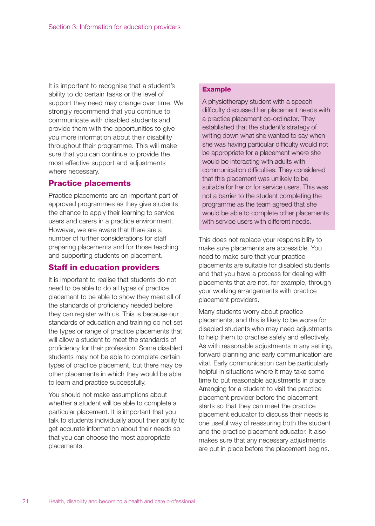It is important to recognise that a student's ability to do certain tasks or the level of support they need may change over time. We strongly recommend that you continue to communicate with disabled students and provide them with the opportunities to give you more information about their disability throughout their programme. This will make sure that you can continue to provide the most effective support and adjustments where necessary.

# **Practice placements**

Practice placements are an important part of approved programmes as they give students the chance to apply their learning to service users and carers in a practice environment. However, we are aware that there are a number of further considerations for staff preparing placements and for those teaching and supporting students on placement.

# **Staff in education providers**

It is important to realise that students do not need to be able to do all types of practice placement to be able to show they meet all of the standards of proficiency needed before they can register with us. This is because our standards of education and training do not set the types or range of practice placements that will allow a student to meet the standards of proficiency for their profession. Some disabled students may not be able to complete certain types of practice placement, but there may be other placements in which they would be able to learn and practise successfully.

You should not make assumptions about whether a student will be able to complete a particular placement. It is important that you talk to students individually about their ability to get accurate information about their needs so that you can choose the most appropriate placements.

#### **Example**

A physiotherapy student with a speech difficulty discussed her placement needs with a practice placement co-ordinator. They established that the student's strategy of writing down what she wanted to say when she was having particular difficulty would not be appropriate for a placement where she would be interacting with adults with communication difficulties. They considered that this placement was unlikely to be suitable for her or for service users. This was not a barrier to the student completing the programme as the team agreed that she would be able to complete other placements with service users with different needs.

This does not replace your responsibility to make sure placements are accessible. You need to make sure that your practice placements are suitable for disabled students and that you have a process for dealing with placements that are not, for example, through your working arrangements with practice placement providers.

Many students worry about practice placements, and this is likely to be worse for disabled students who may need adjustments to help them to practise safely and effectively. As with reasonable adjustments in any setting, forward planning and early communication are vital. Early communication can be particularly helpful in situations where it may take some time to put reasonable adjustments in place. Arranging for a student to visit the practice placement provider before the placement starts so that they can meet the practice placement educator to discuss their needs is one useful way of reassuring both the student and the practice placement educator. It also makes sure that any necessary adjustments are put in place before the placement begins.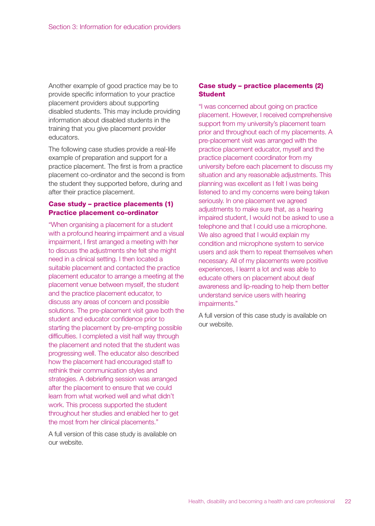Another example of good practice may be to provide specific information to your practice placement providers about supporting disabled students. This may include providing information about disabled students in the training that you give placement provider educators.

The following case studies provide a real-life example of preparation and support for a practice placement. The first is from a practice placement co-ordinator and the second is from the student they supported before, during and after their practice placement.

#### **Case study – practice placements (1) Practice placement co-ordinator**

"When organising a placement for a student with a profound hearing impairment and a visual impairment, I first arranged a meeting with her to discuss the adjustments she felt she might need in a clinical setting. I then located a suitable placement and contacted the practice placement educator to arrange a meeting at the placement venue between myself, the student and the practice placement educator, to discuss any areas of concern and possible solutions. The pre-placement visit gave both the student and educator confidence prior to starting the placement by pre-empting possible difficulties. I completed a visit half way through the placement and noted that the student was progressing well. The educator also described how the placement had encouraged staff to rethink their communication styles and strategies. A debriefing session was arranged after the placement to ensure that we could learn from what worked well and what didn't work. This process supported the student throughout her studies and enabled her to get the most from her clinical placements."

A full version of this case study is available on our website.

### **Case study – practice placements (2) Student**

"I was concerned about going on practice placement. However, I received comprehensive support from my university's placement team prior and throughout each of my placements. A pre-placement visit was arranged with the practice placement educator, myself and the practice placement coordinator from my university before each placement to discuss my situation and any reasonable adjustments. This planning was excellent as I felt I was being listened to and my concerns were being taken seriously. In one placement we agreed adjustments to make sure that, as a hearing impaired student, I would not be asked to use a telephone and that I could use a microphone. We also agreed that I would explain my condition and microphone system to service users and ask them to repeat themselves when necessary. All of my placements were positive experiences, I learnt a lot and was able to educate others on placement about deaf awareness and lip-reading to help them better understand service users with hearing impairments."

A full version of this case study is available on our website.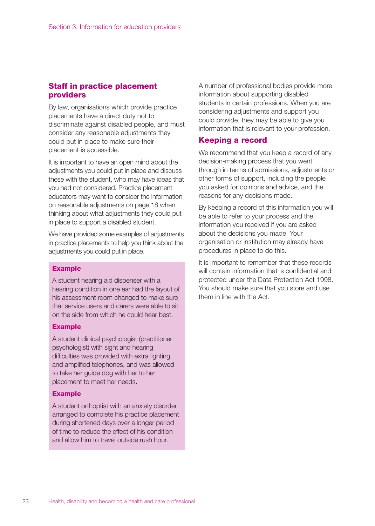# **Staff in practice placement providers**

By law, organisations which provide practice placements have a direct duty not to discriminate against disabled people, and must consider any reasonable adjustments they could put in place to make sure their placement is accessible.

It is important to have an open mind about the adjustments you could put in place and discuss these with the student, who may have ideas that you had not considered. Practice placement educators may want to consider the information on reasonable adjustments on page 18 when thinking about what adjustments they could put in place to support a disabled student.

We have provided some examples of adjustments in practice placements to help you think about the adjustments you could put in place.

#### **Example**

A student hearing aid dispenser with a hearing condition in one ear had the layout of his assessment room changed to make sure that service users and carers were able to sit on the side from which he could hear best.

#### **Example**

A student clinical psychologist (practitioner psychologist) with sight and hearing difficulties was provided with extra lighting and amplified telephones, and was allowed to take her guide dog with her to her placement to meet her needs.

#### **Example**

A student orthoptist with an anxiety disorder arranged to complete his practice placement during shortened days over a longer period of time to reduce the effect of his condition and allow him to travel outside rush hour.

A number of professional bodies provide more information about supporting disabled students in certain professions. When you are considering adjustments and support you could provide, they may be able to give you information that is relevant to your profession.

#### **Keeping a record**

We recommend that you keep a record of any decision-making process that you went through in terms of admissions, adjustments or other forms of support, including the people you asked for opinions and advice, and the reasons for any decisions made.

By keeping a record of this information you will be able to refer to your process and the information you received if you are asked about the decisions you made. Your organisation or institution may already have procedures in place to do this.

It is important to remember that these records will contain information that is confidential and protected under the Data Protection Act 1998. You should make sure that you store and use them in line with the Act.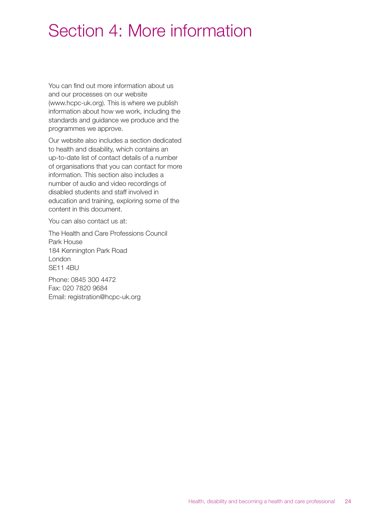# Section 4: More information

You can find out more information about us and our processes on our website (www.hcpc-uk.org). This is where we publish information about how we work, including the standards and guidance we produce and the programmes we approve.

Our website also includes a section dedicated to health and disability, which contains an up-to-date list of contact details of a number of organisations that you can contact for more information. This section also includes a number of audio and video recordings of disabled students and staff involved in education and training, exploring some of the content in this document.

You can also contact us at:

The Health and Care Professions Council Park House 184 Kennington Park Road London SE11 4BU

Phone: 0845 300 4472 Fax: 020 7820 9684 Email: registration@hcpc-uk.org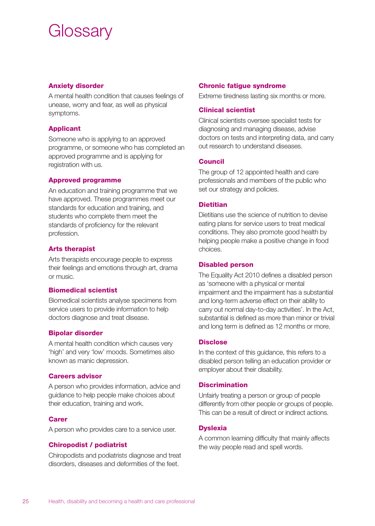# **Glossary**

#### **Anxiety disorder**

A mental health condition that causes feelings of unease, worry and fear, as well as physical symptoms.

### **Applicant**

Someone who is applying to an approved programme, or someone who has completed an approved programme and is applying for registration with us.

#### **Approved programme**

An education and training programme that we have approved. These programmes meet our standards for education and training, and students who complete them meet the standards of proficiency for the relevant profession.

### **Arts therapist**

Arts therapists encourage people to express their feelings and emotions through art, drama or music.

#### **Biomedical scientist**

Biomedical scientists analyse specimens from service users to provide information to help doctors diagnose and treat disease.

#### **Bipolar disorder**

A mental health condition which causes very 'high' and very 'low' moods. Sometimes also known as manic depression.

#### **Careers advisor**

A person who provides information, advice and guidance to help people make choices about their education, training and work.

#### **Carer**

A person who provides care to a service user.

# **Chiropodist / podiatrist**

Chiropodists and podiatrists diagnose and treat disorders, diseases and deformities of the feet.

#### **Chronic fatigue syndrome**

Extreme tiredness lasting six months or more.

#### **Clinical scientist**

Clinical scientists oversee specialist tests for diagnosing and managing disease, advise doctors on tests and interpreting data, and carry out research to understand diseases.

#### **Council**

The group of 12 appointed health and care professionals and members of the public who set our strategy and policies.

#### **Dietitian**

Dietitians use the science of nutrition to devise eating plans for service users to treat medical conditions. They also promote good health by helping people make a positive change in food choices.

#### **Disabled person**

The Equality Act 2010 defines a disabled person as 'someone with a physical or mental impairment and the impairment has a substantial and long-term adverse effect on their ability to carry out normal day-to-day activities'. In the Act, substantial is defined as more than minor or trivial and long term is defined as 12 months or more.

#### **Disclose**

In the context of this guidance, this refers to a disabled person telling an education provider or employer about their disability.

#### **Discrimination**

Unfairly treating a person or group of people differently from other people or groups of people. This can be a result of direct or indirect actions.

#### **Dyslexia**

A common learning difficulty that mainly affects the way people read and spell words.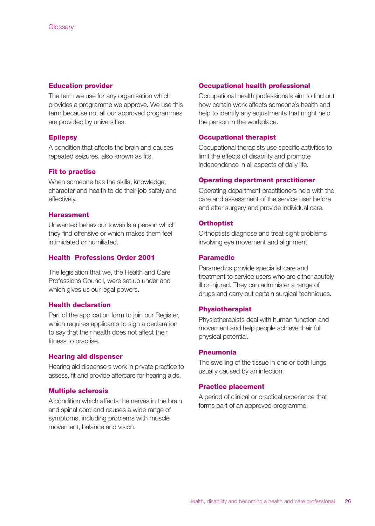#### **Education provider**

The term we use for any organisation which provides a programme we approve. We use this term because not all our approved programmes are provided by universities.

#### **Epilepsy**

A condition that affects the brain and causes repeated seizures, also known as fits.

#### **Fit to practise**

When someone has the skills, knowledge, character and health to do their job safely and effectively.

#### **Harassment**

Unwanted behaviour towards a person which they find offensive or which makes them feel intimidated or humiliated.

#### **Health Professions Order 2001**

The legislation that we, the Health and Care Professions Council, were set up under and which gives us our legal powers.

#### **Health declaration**

Part of the application form to join our Register, which requires applicants to sign a declaration to say that their health does not affect their fitness to practise.

#### **Hearing aid dispenser**

Hearing aid dispensers work in private practice to assess, fit and provide aftercare for hearing aids.

#### **Multiple sclerosis**

A condition which affects the nerves in the brain and spinal cord and causes a wide range of symptoms, including problems with muscle movement, balance and vision.

#### **Occupational health professional**

Occupational health professionals aim to find out how certain work affects someone's health and help to identify any adjustments that might help the person in the workplace.

#### **Occupational therapist**

Occupational therapists use specific activities to limit the effects of disability and promote independence in all aspects of daily life.

#### **Operating department practitioner**

Operating department practitioners help with the care and assessment of the service user before and after surgery and provide individual care.

#### **Orthoptist**

Orthoptists diagnose and treat sight problems involving eye movement and alignment.

#### **Paramedic**

Paramedics provide specialist care and treatment to service users who are either acutely ill or injured. They can administer a range of drugs and carry out certain surgical techniques.

#### **Physiotherapist**

Physiotherapists deal with human function and movement and help people achieve their full physical potential.

#### **Pneumonia**

The swelling of the tissue in one or both lungs, usually caused by an infection.

#### **Practice placement**

A period of clinical or practical experience that forms part of an approved programme.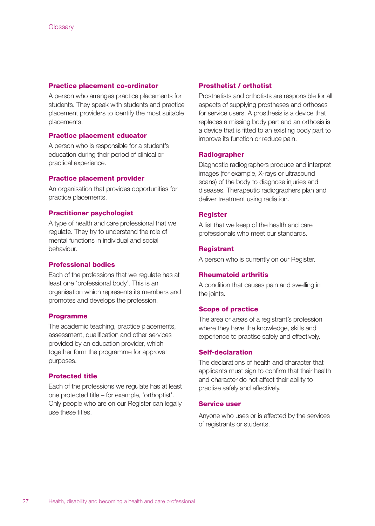#### **Practice placement co-ordinator**

A person who arranges practice placements for students. They speak with students and practice placement providers to identify the most suitable placements.

#### **Practice placement educator**

A person who is responsible for a student's education during their period of clinical or practical experience.

#### **Practice placement provider**

An organisation that provides opportunities for practice placements.

#### **Practitioner psychologist**

A type of health and care professional that we regulate. They try to understand the role of mental functions in individual and social behaviour.

#### **Professional bodies**

Each of the professions that we regulate has at least one 'professional body'. This is an organisation which represents its members and promotes and develops the profession.

#### **Programme**

The academic teaching, practice placements, assessment, qualification and other services provided by an education provider, which together form the programme for approval purposes.

#### **Protected title**

Each of the professions we regulate has at least one protected title – for example, 'orthoptist'. Only people who are on our Register can legally use these titles.

#### **Prosthetist / orthotist**

Prosthetists and orthotists are responsible for all aspects of supplying prostheses and orthoses for service users. A prosthesis is a device that replaces a missing body part and an orthosis is a device that is fitted to an existing body part to improve its function or reduce pain.

#### **Radiographer**

Diagnostic radiographers produce and interpret images (for example, X-rays or ultrasound scans) of the body to diagnose injuries and diseases. Therapeutic radiographers plan and deliver treatment using radiation.

#### **Register**

A list that we keep of the health and care professionals who meet our standards.

#### **Registrant**

A person who is currently on our Register.

#### **Rheumatoid arthritis**

A condition that causes pain and swelling in the joints.

#### **Scope of practice**

The area or areas of a registrant's profession where they have the knowledge, skills and experience to practise safely and effectively.

#### **Self-declaration**

The declarations of health and character that applicants must sign to confirm that their health and character do not affect their ability to practise safely and effectively.

#### **Service user**

Anyone who uses or is affected by the services of registrants or students.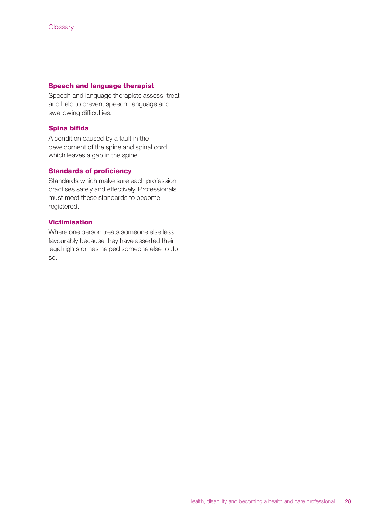#### **Speech and language therapist**

Speech and language therapists assess, treat and help to prevent speech, language and swallowing difficulties.

#### **Spina bifida**

A condition caused by a fault in the development of the spine and spinal cord which leaves a gap in the spine.

#### **Standards of proficiency**

Standards which make sure each profession practises safely and effectively. Professionals must meet these standards to become registered.

#### **Victimisation**

Where one person treats someone else less favourably because they have asserted their legal rights or has helped someone else to do so.